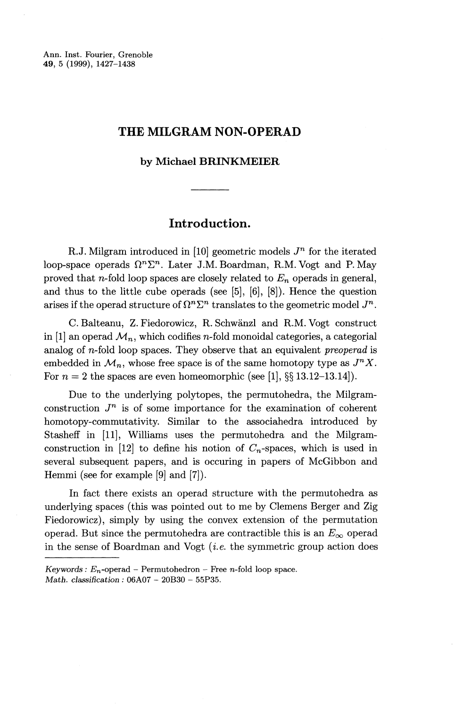Ann. Inst. Fourier, Grenoble **49,** 5 (1999), 1427-1438

## **THE MILGRAM NON-OPERAD**

#### **by Michael BRINKMEIER**

# **Introduction.**

R.J. Milgram introduced in [10] geometric models  $J<sup>n</sup>$  for the iterated loop-space operads  $\Omega^n \Sigma^n$ . Later J.M. Boardman, R.M. Vogt and P. May proved that n-fold loop spaces are closely related to *En* operads in general, and thus to the little cube operads (see [5], [6], [8]). Hence the question arises if the operad structure of  $\Omega^n \Sigma^n$  translates to the geometric model  $J^n$ .

C. Balteanu, Z. Fiedorowicz, R. Schwanzl and R.M. Vogt construct in [1] an operad  $\mathcal{M}_n$ , which codifies n-fold monoidal categories, a categorial analog of n-fold loop spaces. They observe that an equivalent *preoperad* is embedded in  $\mathcal{M}_n$ , whose free space is of the same homotopy type as  $J^nX$ . For  $n = 2$  the spaces are even homeomorphic (see [1], §§ 13.12-13.14]).

Due to the underlying polytopes, the permutohedra, the Milgramconstruction  $J^n$  is of some importance for the examination of coherent homotopy-commutativity. Similar to the associahedra introduced by Stasheff in [II], Williams uses the permutohedra and the Milgramconstruction in [12] to define his notion of  $C_n$ -spaces, which is used in several subsequent papers, and is occuring in papers of McGibbon and Hemmi (see for example [9] and [7]).

In fact there exists an operad structure with the permutohedra as underlying spaces (this was pointed out to me by Clemens Berger and Zig Fiedorowicz), simply by using the convex extension of the permutation operad. But since the permutohedra are contractible this is an  $E_{\infty}$  operad in the sense of Boardman and Vogt *(i.e.* the symmetric group action does

 $Keywords: E_n$ -operad – Permutohedron – Free *n*-fold loop space. *Math. classification:* 06A07 - 20B30 - 55P35.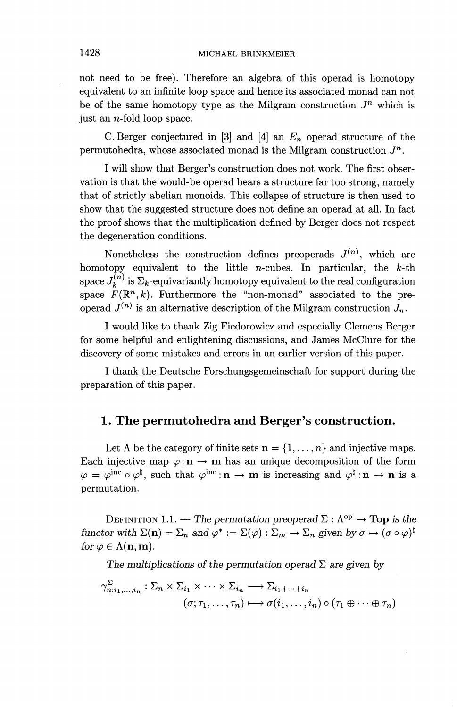not need to be free). Therefore an algebra of this operad is homotopy equivalent to an infinite loop space and hence its associated monad can not be of the same homotopy type as the Milgram construction  $J<sup>n</sup>$  which is just an n-fold loop space.

C. Berger conjectured in [3] and [4] an *En* operad structure of the permutohedra, whose associated monad is the Milgram construction  $J^n$ .

I will show that Berger's construction does not work. The first observation is that the would-be operad bears a structure far too strong, namely that of strictly abelian monoids. This collapse of structure is then used to show that the suggested structure does not define an operad at all. In fact the proof shows that the multiplication defined by Berger does not respect the degeneration conditions.

Nonetheless the construction defines preoperads  $J^{(n)}$ , which are homotopy equivalent to the little n-cubes. In particular, the *k-th* space  $J_k^{(n)}$  is  $\Sigma_k$ -equivariantly homotopy equivalent to the real configuration space  $F(\mathbb{R}^n,k)$ . Furthermore the "non-monad" associated to the preoperad  $J^{(n)}$  is an alternative description of the Milgram construction  $J_n$ .

I would like to thank Zig Fiedorowicz and especially Clemens Berger for some helpful and enlightening discussions, and James McClure for the discovery of some mistakes and errors in an earlier version of this paper.

I thank the Deutsche Forschungsgemeinschaft for support during the preparation of this paper.

## **1. The permutohedra and Berger ^s construction.**

Let  $\Lambda$  be the category of finite sets  $\mathbf{n} = \{1, \ldots, n\}$  and injective maps. Each injective map  $\varphi : \mathbf{n} \to \mathbf{m}$  has an unique decomposition of the form  $\varphi = \varphi^{\rm inc} \circ \varphi^{\natural}$ , such that  $\varphi^{\rm inc} : \mathbf{n} \to \mathbf{m}$  is increasing and  $\varphi^{\natural} : \mathbf{n} \to \mathbf{n}$  is a permutation.

DEFINITION 1.1. — The permutation preoperad  $\Sigma : \Lambda^{\text{op}} \to \text{Top}$  is the *functor with*  $\Sigma(\mathbf{n}) = \Sigma_n$  and  $\varphi^* := \Sigma(\varphi) : \Sigma_m \to \Sigma_n$  given by  $\sigma \mapsto (\sigma \circ \varphi)^{\natural}$ *for*  $\varphi \in \Lambda(n, m)$ .

The multiplications of the permutation operad  $\Sigma$  are given by

$$
\gamma_{n;i_1,\dots,i_n}^{\Sigma} : \Sigma_n \times \Sigma_{i_1} \times \dots \times \Sigma_{i_n} \longrightarrow \Sigma_{i_1 + \dots + i_n}
$$

$$
(\sigma; \tau_1, \dots, \tau_n) \longmapsto \sigma(i_1, \dots, i_n) \circ (\tau_1 \oplus \dots \oplus \tau_n)
$$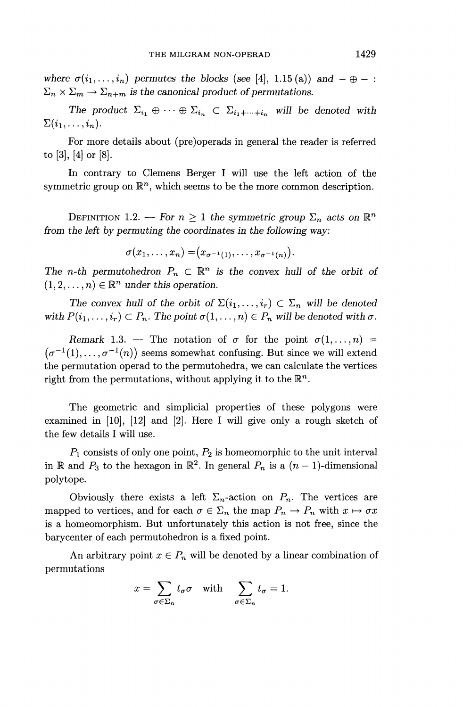*where*  $\sigma(i_1, \ldots, i_n)$  *permutes the blocks (see* [4], 1.15 (a)) and  $-\oplus -$ :  $\Sigma_n \times \Sigma_m \rightarrow \Sigma_{n+m}$  is the canonical product of permutations.

*The product*  $\Sigma_{i_1} \oplus \cdots \oplus \Sigma_{i_n} \subset \Sigma_{i_1 + \cdots + i_n}$  will be denoted with  $\Sigma(i_1,\ldots,i_n).$ 

For more details about (pre)operads in general the reader is referred to [3], [4] or [8].

In contrary to Clemens Berger I will use the left action of the symmetric group on  $\mathbb{R}^n$ , which seems to be the more common description.

DEFINITION 1.2. – For  $n \geq 1$  the symmetric group  $\Sigma_n$  acts on  $\mathbb{R}^n$ *from the left by permuting the coordinates in the following way:*

$$
\sigma(x_1,\ldots,x_n)=(x_{\sigma^{-1}(1)},\ldots,x_{\sigma^{-1}(n)}).
$$

The *n*-th permutohedron  $P_n \subset \mathbb{R}^n$  is the convex hull of the orbit of  $(1, 2, \ldots, n) \in \mathbb{R}^n$  under this operation.

The convex hull of the orbit of  $\Sigma(i_1,\ldots,i_r) \subset \Sigma_n$  will be denoted *with*  $P(i_1,..., i_r) \subset P_n$ . The point  $\sigma(1,..., n) \in P_n$  will be denoted with  $\sigma$ .

*Remark* 1.3. – The notation of  $\sigma$  for the point  $\sigma(1,\ldots,n)$  =  $(\sigma^{-1}(1),\ldots,\sigma^{-1}(n))$  seems somewhat confusing. But since we will extend the permutation operad to the permutohedra, we can calculate the vertices right from the permutations, without applying it to the  $\mathbb{R}^n$ .

The geometric and simplicial properties of these polygons were examined in [10], [12] and [2]. Here I will give only a rough sketch of the few details I will use.

 $P_1$  consists of only one point,  $P_2$  is homeomorphic to the unit interval in  $\mathbb R$  and  $P_3$  to the hexagon in  $\mathbb R^2$ . In general  $P_n$  is a  $(n-1)$ -dimensional polytope.

Obviously there exists a left  $\Sigma_n$ -action on  $P_n$ . The vertices are mapped to vertices, and for each  $\sigma \in \Sigma_n$  the map  $P_n \to P_n$  with  $x \mapsto \sigma x$ is a homeomorphism. But unfortunately this action is not free, since the barycenter of each permutohedron is a fixed point.

An arbitrary point  $x \in P_n$  will be denoted by a linear combination of permutations

$$
x = \sum_{\sigma \in \Sigma_n} t_{\sigma} \sigma \quad \text{with} \quad \sum_{\sigma \in \Sigma_n} t_{\sigma} = 1.
$$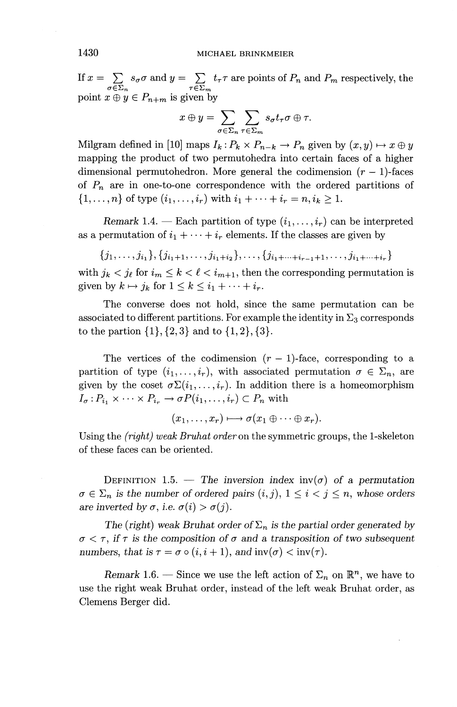If  $x = \sum_{\sigma \in \Sigma_n} s_{\sigma} \sigma$  and  $y = \sum_{\tau \in \Sigma_m} t_{\tau} \tau$  are points of  $P_n$  and  $P_m$  respectively, the point  $x \oplus y \in P_{n+m}$  is given by

given by  
\n
$$
x \oplus y = \sum_{\sigma \in \Sigma_n} \sum_{\tau \in \Sigma_m} s_{\sigma} t_{\tau} \sigma \oplus \tau.
$$

Milgram defined in [10] maps  $I_k$ :  $P_k \times P_{n-k} \to P_n$  given by  $(x, y) \mapsto x \oplus y$ mapping the product of two permutohedra into certain faces of a higher dimensional permutohedron. More general the codimension *(r —* l)-faces of *Pn* are in one-to-one correspondence with the ordered partitions of  $\{1, \ldots, n\}$  of type  $(i_1, \ldots, i_r)$  with  $i_1 + \cdots + i_r = n, i_k \geq 1$ .

*Remark* 1.4. — Each partition of type  $(i_1, \ldots, i_r)$  can be interpreted as a permutation of  $i_1 + \cdots + i_r$  elements. If the classes are given by

$$
\{j_1,\ldots,j_{i_1}\},\{j_{i_1+1},\ldots,j_{i_1+i_2}\},\ldots,\{j_{i_1+\cdots+i_{r-1}+1},\ldots,j_{i_1+\cdots+i_r}\}
$$

with  $j_k < j_\ell$  for  $i_m \leq k < \ell < i_{m+1}$ , then the corresponding permutation is given by  $k \mapsto j_k$  for  $1 \leq k \leq i_1 + \cdots + i_r$ .

The converse does not hold, since the same permutation can be associated to different partitions. For example the identity in  $\Sigma_3$  corresponds to the partion  $\{1\}, \{2,3\}$  and to  $\{1,2\}, \{3\}.$ 

The vertices of the codimension  $(r - 1)$ -face, corresponding to a partition of type  $(i_1, \ldots, i_r)$ , with associated permutation  $\sigma \in \Sigma_n$ , are given by the coset  $\sigma \Sigma(i_1,\ldots,i_r)$ . In addition there is a homeomorphism  $I_{\sigma}: P_{i_1} \times \cdots \times P_{i_r} \to \sigma P(i_1,\ldots,i_r) \subset P_n$  with

$$
(x_1,\ldots,x_r)\longmapsto \sigma(x_1\oplus\cdots\oplus x_r).
$$

Using the *(right) weak Bruhat order on* the symmetric groups, the 1-skeleton of these faces can be oriented.

DEFINITION 1.5. — The inversion index  $inv(\sigma)$  of a permutation  $\sigma \in \Sigma_n$  is the number of ordered pairs  $(i, j)$ ,  $1 \leq i < j \leq n$ , whose orders *are inverted by*  $\sigma$ *, i.e.*  $\sigma(i) > \sigma(j)$ .

The (right) weak Bruhat order of  $\Sigma_n$  is the partial order generated by  $\sigma < \tau$ , if  $\tau$  is the composition of  $\sigma$  and a transposition of two subsequent *numbers, that is*  $\tau = \sigma \circ (i, i + 1)$ *, and*  $inv(\sigma) < inv(\tau)$ *.* 

*Remark* 1.6. – Since we use the left action of  $\Sigma_n$  on  $\mathbb{R}^n$ , we have to use the right weak Bruhat order, instead of the left weak Bruhat order, as Clemens Berger did.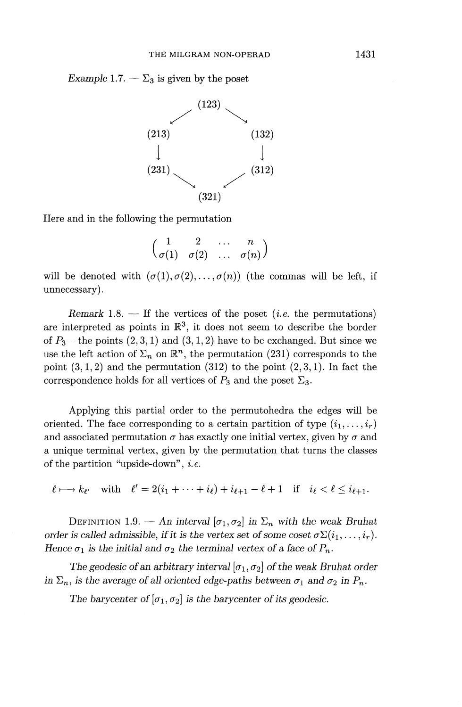*Example* 1.7. —  $\Sigma_3$  is given by the poset



Here and in the following the permutation

$$
\begin{pmatrix}\n1 & 2 & \dots & n \\
\sigma(1) & \sigma(2) & \dots & \sigma(n)\n\end{pmatrix}
$$

will be denoted with  $(\sigma(1),\sigma(2),\ldots,\sigma(n))$  (the commas will be left, if unnecessary).

*Remark* 1.8. — If the vertices of the poset *{i.e.* the permutations) are interpreted as points in  $\mathbb{R}^3$ , it does not seem to describe the border of  $P_3$  – the points  $(2,3,1)$  and  $(3,1,2)$  have to be exchanged. But since we use the left action of  $\Sigma_n$  on  $\mathbb{R}^n$ , the permutation (231) corresponds to the point  $(3,1,2)$  and the permutation  $(312)$  to the point  $(2,3,1)$ . In fact the correspondence holds for all vertices of  $P_3$  and the poset  $\Sigma_3$ .

Applying this partial order to the permutohedra the edges will be oriented. The face corresponding to a certain partition of type  $(i_1, \ldots, i_r)$ and associated permutation  $\sigma$  has exactly one initial vertex, given by  $\sigma$  and a unique terminal vertex, given by the permutation that turns the classes of the partition "upside-down", *i. e.*

 $\ell \longmapsto k_{\ell'}$  with  $\ell' = 2(i_1 + \cdots + i_{\ell}) + i_{\ell+1} - \ell + 1$  if  $i_{\ell} < \ell \leq i_{\ell+1}$ .

DEFINITION 1.9. — An interval  $[\sigma_1, \sigma_2]$  in  $\Sigma_n$  with the weak Bruhat *order is called admissible, if it is the vertex set of some coset*  $\sigma \Sigma(i_1,\ldots,i_r)$ . *Hence*  $\sigma_1$  *is the initial and*  $\sigma_2$  *the terminal vertex of a face of P<sub>n</sub>.* 

*The geodesic of an arbitrary interval*  $[\sigma_1, \sigma_2]$  *of the weak Bruhat order in*  $\Sigma_n$ *, is the average of all oriented edge-paths between*  $\sigma_1$  *and*  $\sigma_2$  *in*  $P_n$ *.* 

The barycenter of  $[\sigma_1, \sigma_2]$  is the barycenter of its geodesic.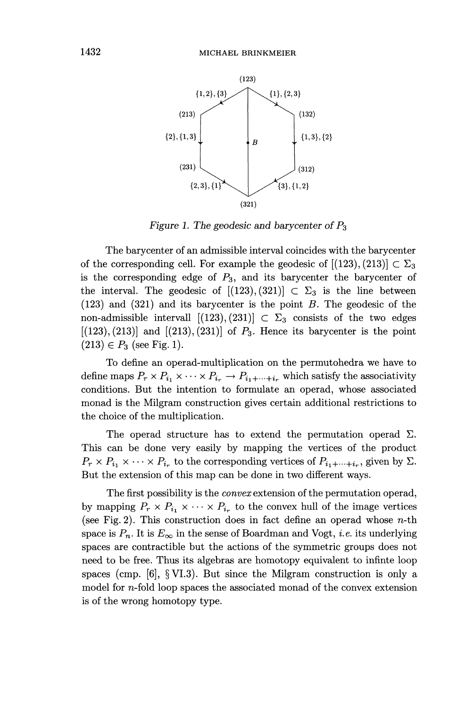

*Figure 1. The geodesic and barycenter of PS*

The barycenter of an admissible interval coincides with the barycenter of the corresponding cell. For example the geodesic of  $[(123), (213)] \subset \Sigma_3$ is the corresponding edge of  $P_3$ , and its barycenter the barycenter of the interval. The geodesic of  $[(123), (321)] \subset \Sigma_3$  is the line between (123) and (321) and its barycenter is the point *B.* The geodesic of the non-admissible intervall  $[(123), (231)] \subset \Sigma_3$  consists of the two edges  $[(123), (213)]$  and  $[(213), (231)]$  of  $P_3$ . Hence its barycenter is the point  $(213) \in P_3$  (see Fig. 1).

To define an operad-multiplication on the permutohedra we have to define maps  $P_r \times P_{i_1} \times \cdots \times P_{i_r} \to P_{i_1 + \cdots + i_r}$  which satisfy the associativity conditions. But the intention to formulate an operad, whose associated monad is the Milgram construction gives certain additional restrictions to the choice of the multiplication.

The operad structure has to extend the permutation operad  $\Sigma$ . This can be done very easily by mapping the vertices of the product  $P_r \times P_{i_1} \times \cdots \times P_{i_r}$  to the corresponding vertices of  $P_{i_1 + \cdots + i_r}$ , given by  $\Sigma$ . But the extension of this map can be done in two different ways.

The first possibility is the *convex* extension of the permutation operad, by mapping  $P_r \times P_{i_1} \times \cdots \times P_{i_r}$  to the convex hull of the image vertices (see Fig. 2). This construction does in fact define an operad whose  $n$ -th space is  $P_n$ . It is  $E_{\infty}$  in the sense of Boardman and Vogt, *i.e.* its underlying spaces are contractible but the actions of the symmetric groups does not need to be free. Thus its algebras are homotopy equivalent to infinte loop spaces (cmp.  $[6]$ ,  $\S$  VI.3). But since the Milgram construction is only a model for n-fold loop spaces the associated monad of the convex extension is of the wrong homotopy type.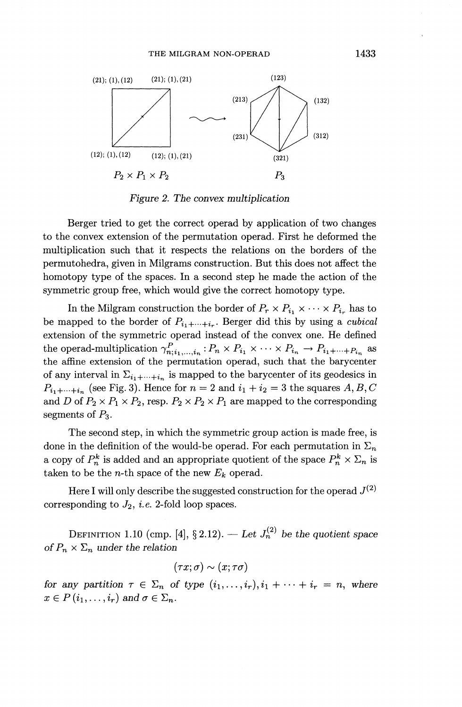

*Figure 2. The convex multiplication*

Berger tried to get the correct operad by application of two changes to the convex extension of the permutation operad. First he deformed the multiplication such that it respects the relations on the borders of the permutohedra, given in Milgrams construction. But this does not affect the homotopy type of the spaces. In a second step he made the action of the symmetric group free, which would give the correct homotopy type.

In the Milgram construction the border of  $P_r \times P_{i_1} \times \cdots \times P_{i_r}$  has to be mapped to the border of  $P_{i_1+\cdots+i_r}$ . Berger did this by using a *cubical* extension of the symmetric operad instead of the convex one. He defined the operad-multiplication  $\gamma^P_{n;i_1,\dots,i_n} : P_n \times P_{i_1} \times \cdots \times P_{i_n} \to P_{i_1+\cdots+i_n}$  as the affine extension of the permutation operad, such that the barycenter of any interval in  $\Sigma_{i_1+\cdots+i_n}$  is mapped to the barycenter of its geodesics in  $P_{i_1+\cdots+i_n}$  (see Fig. 3). Hence for  $n = 2$  and  $i_1 + i_2 = 3$  the squares  $A, B, C$ and D of  $P_2 \times P_1 \times P_2$ , resp.  $P_2 \times P_2 \times P_1$  are mapped to the corresponding segments of  $P_3$ .

The second step, in which the symmetric group action is made free, is done in the definition of the would-be operad. For each permutation in  $\Sigma_n$ a copy of  $P^k_n$  is added and an appropriate quotient of the space  $P^k_n \times \Sigma_n$  is taken to be the *n*-th space of the new  $E_k$  operad.

Here I will only describe the suggested construction for the operad  $J^{(2)}$ corresponding to  $J_2$ , *i.e.* 2-fold loop spaces.

DEFINITION 1.10 (cmp. [4], § 2.12). — Let  $J_n^{(2)}$  be the quotient space *of*  $P_n \times \Sigma_n$  under the relation

$$
(\tau x; \sigma) \sim (x; \tau \sigma)
$$

*for any partition*  $\tau \in \Sigma_n$  *of type*  $(i_1, \ldots, i_r), i_1 + \cdots + i_r = n$ *, where*  $x \in P(i_1,\ldots,i_r)$  and  $\sigma \in \Sigma_n$ .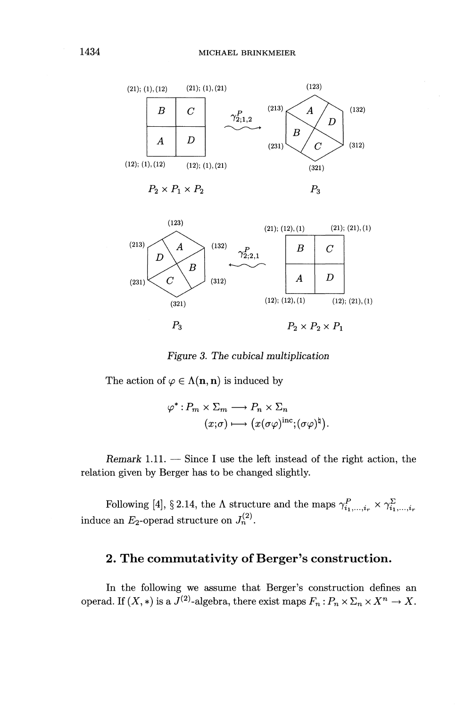



*Figure 3. The cubical multiplication*

The action of  $\varphi \in \Lambda(n, n)$  is induced by

$$
\varphi \in \Lambda(\mathbf{h}, \mathbf{h}) \text{ is induced by}
$$

$$
\varphi^* : P_m \times \Sigma_m \longrightarrow P_n \times \Sigma_n
$$

$$
(x; \sigma) \longmapsto (x(\sigma \varphi)^{\text{inc}}; (\sigma \varphi)^{\text{th}}).
$$

*Remark* 1.11. — Since I use the left instead of the right action, the relation given by Berger has to be changed slightly.

Following [4], § 2.14, the  $\Lambda$  structure and the maps  $\gamma^P_{i_1,\dots,i_r} \times \gamma^{\Sigma}_{i_1,\dots,i_r}$ induce an  $E_2$ -operad structure on  $J_n^{(2)}$ .

# 2. The commutativity of Berger's construction.

In the following we assume that Berger's construction defines an operad. If  $(X, *)$  is a  $J^{(2)}$ -algebra, there exist maps  $F_n : P_n \times \Sigma_n \times X^n \to X$ .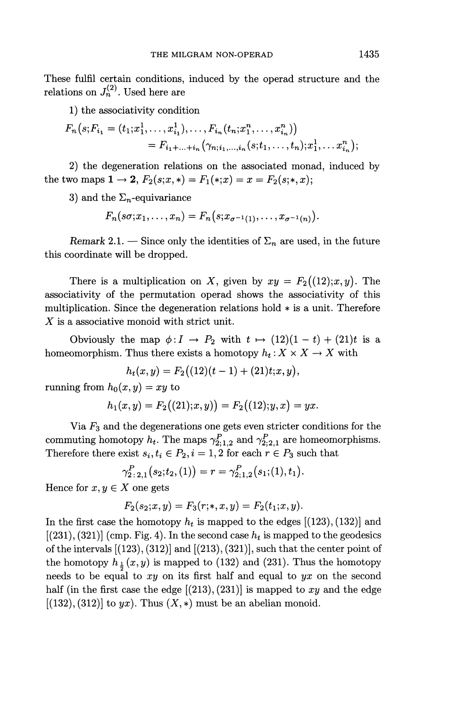These fulfil certain conditions, induced by the operad structure and the relations on  $J_n^{(2)}$ . Used here are

1) the associativity condition

$$
F_n(s; F_{i_1} = (t_1; x_1^1, \dots, x_{i_1}^1), \dots, F_{i_n}(t_n; x_1^n, \dots, x_{i_n}^n))
$$
  
=  $F_{i_1 + \dots + i_n}(\gamma_{n; i_1, \dots, i_n}(s; t_1, \dots, t_n); x_1^1, \dots, x_{i_n}^n);$ 

2) the degeneration relations on the associated monad, induced by the two maps  $1 \to 2$ ,  $F_2(s; x,*) = F_1(*; x) = x = F_2(s;*, x);$ 

3) and the  $\Sigma_n$ -equivariance

 $F_n(s\sigma; x_1, \ldots, x_n) = F_n(s; x_{\sigma^{-1}(1)}, \ldots, x_{\sigma^{-1}(n)}).$ 

*Remark* 2.1. — Since only the identities of  $\Sigma_n$  are used, in the future this coordinate will be dropped.

There is a multiplication on X, given by  $xy = F_2((12);x,y)$ . The associativity of the permutation operad shows the associativity of this multiplication. Since the degeneration relations hold \* is a unit. Therefore X is a associative monoid with strict unit.

Obviously the map  $\phi: I \to P_2$  with  $t \mapsto (12)(1 - t) + (21)t$  is a homeomorphism. Thus there exists a homotopy  $h_t: X \times X \to X$  with

Thus there exists a nonotopy 
$$
h_t: X \times
$$
  

$$
h_t(x, y) = F_2((12)(t-1) + (21)t; x, y),
$$

running from  $h_0(x, y) = xy$  to

$$
h_1(x,y) = F_2((21);x,y)) = F_2((12);y,x) = yx.
$$

Via *Fs* and the degenerations one gets even stricter conditions for the commuting homotopy  $h_t$ . The maps  $\gamma_{2;1,2}^P$  and  $\gamma_{2;2,1}^P$  are homeomorphisms. Therefore there exist  $s_i, t_i \in P_2, i = 1,2$  for each  $r \in P_3$  such that

$$
\gamma_{2\,:\,2,1}^{P}(s_2;t_2,(1))=r=\gamma_{2;1,2}^{P}(s_1;(1),t_1)
$$

Hence for  $x, y \in X$  one gets

$$
F_2(s_2; x, y) = F_3(r; *, x, y) = F_2(t_1; x, y).
$$

In the first case the homotopy  $h_t$  is mapped to the edges  $[(123), (132)]$  and  $[(231), (321)]$  (cmp. Fig. 4). In the second case  $h_t$  is mapped to the geodesics of the intervals  $[(123), (312)]$  and  $[(213), (321)]$ , such that the center point of the homotopy  $h_{\frac{1}{2}}(x,y)$  is mapped to (132) and (231). Thus the homotopy needs to be equal to *xy* on its first half and equal to *yx* on the second half (in the first case the edge [(213), (231)] is mapped to *xy* and the edge  $[(132), (312)]$  to yx). Thus  $(X, *)$  must be an abelian monoid.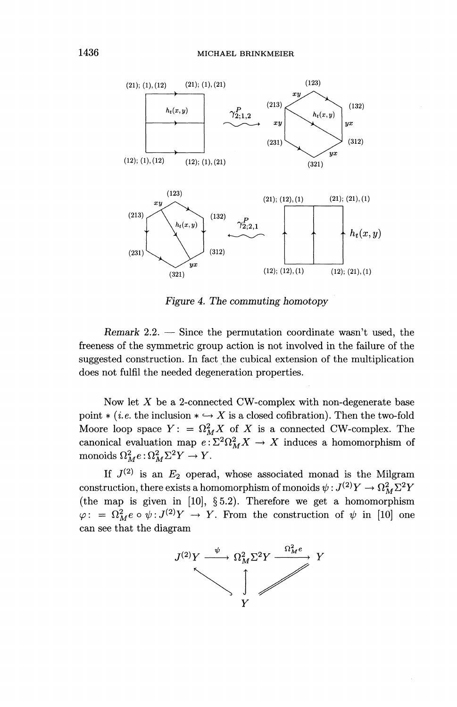

*Figure 4. The commuting homotopy*

*Remark* 2.2. — Since the permutation coordinate wasn't used, the freeness of the symmetric group action is not involved in the failure of the suggested construction. In fact the cubical extension of the multiplication does not fulfil the needed degeneration properties.

Now let *X* be a 2-connected CW-complex with non-degenerate base point  $*(i.e.$  the inclusion  $*\hookrightarrow X$  is a closed cofibration). Then the two-fold Moore loop space  $Y: = \Omega_M^2 X$  of X is a connected CW-complex. The canonical evaluation map  $e: \Sigma^2 \Omega_M^2 X \to X$  induces a homomorphism of monoids  $\Omega_M^2 e : \Omega_M^2 \Sigma^2 Y \to Y$ .

If  $J^{(2)}$  is an  $E_2$  operad, whose associated monad is the Milgram construction, there exists a homomorphism of monoids  $\psi : J^{(2)}Y \to \Omega_M^2\Sigma^2Y$ (the map is given in [10], §5.2). Therefore we get a homomorphism  $\varphi: = \Omega_M^2 e \circ \psi : J^{(2)}Y \to Y$ . From the construction of  $\psi$  in [10] one can see that the diagram

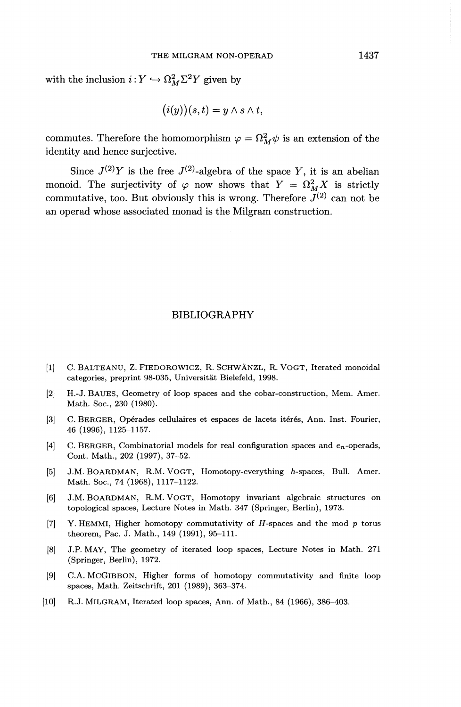with the inclusion  $i: Y \hookrightarrow \Omega_M^2 \Sigma^2 Y$  given by

$$
(i(y))(s,t) = y \wedge s \wedge t,
$$

commutes. Therefore the homomorphism  $\varphi = \Omega_M^2 \psi$  is an extension of the identity and hence surjective.

Since  $J^{(2)}Y$  is the free  $J^{(2)}$ -algebra of the space Y, it is an abelian monoid. The surjectivity of  $\varphi$  now shows that  $Y = \Omega_M^2 X$  is strictly commutative, too. But obviously this is wrong. Therefore  $J^{(2)}$  can not be an operad whose associated monad is the Milgram construction.

#### BIBLIOGRAPHY

- [1] C. BALTEANU, Z. FIEDOROWICZ, R. SCHWANZL, R. VOGT, Iterated monoidal categories, preprint 98-035, Universitat Bielefeld, 1998.
- [2] H.-J. BAUES, Geometry of loop spaces and the cobar-construction, Mem. Amer. Math. Soc., 230 (1980).
- [3] C. BERGER, Opérades cellulaires et espaces de lacets itérés, Ann. Inst. Fourier, 46 (1996), 1125-1157.
- [4] C. BERGER, Combinatorial models for real configuration spaces and  $e_n$ -operads, Cont. Math., 202 (1997), 37-52.
- [5] J.M. BOARDMAN, R.M. VOGT, Homotopy-everything h-spaces, Bull. Amer. Math. Soc., 74 (1968), 1117-1122.
- [6] J.M. BOARDMAN, R.M. VOGT, Homotopy invariant algebraic structures on topological spaces, Lecture Notes in Math. 347 (Springer, Berlin), 1973.
- [7] Y. HEMMI, Higher homotopy commutativity of *H-spaces* and the mod *p* torus theorem, Pac. J. Math., 149 (1991), 95-111.
- [8] J.P. MAY, The geometry of iterated loop spaces, Lecture Notes in Math. 271 (Springer, Berlin), 1972.
- [9] C.A. McGlBBON, Higher forms of homotopy commutativity and finite loop spaces, Math. Zeitschrift, 201 (1989), 363-374.
- [10] R.J. MILGRAM, Iterated loop spaces, Ann. of Math., 84 (1966), 386-403.